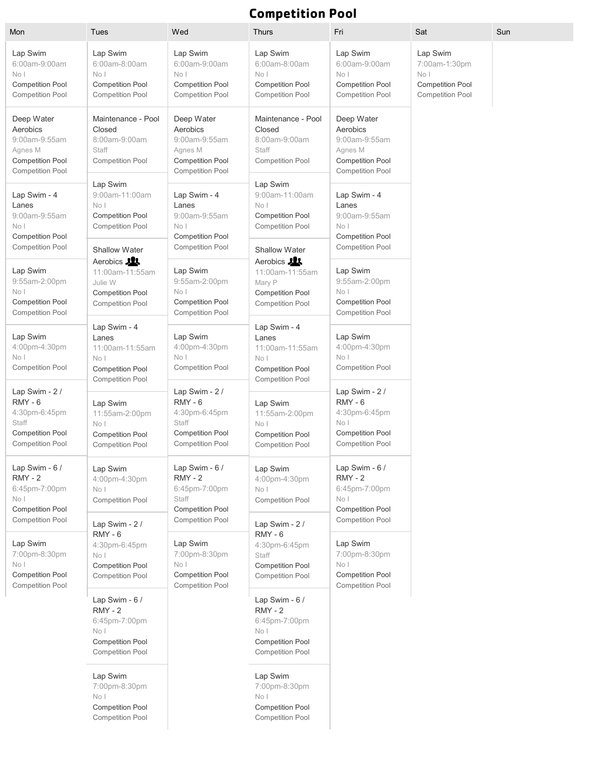## **Competition Pool**

| Mon                                                                                                             | Tues                                                                                                                    | Wed                                                                                                         | <b>Thurs</b>                                                                                                    | Fri                                                                                                                   | Sat                                                                                     | Sun |
|-----------------------------------------------------------------------------------------------------------------|-------------------------------------------------------------------------------------------------------------------------|-------------------------------------------------------------------------------------------------------------|-----------------------------------------------------------------------------------------------------------------|-----------------------------------------------------------------------------------------------------------------------|-----------------------------------------------------------------------------------------|-----|
| Lap Swim<br>6:00am-9:00am<br>No <sub>1</sub><br><b>Competition Pool</b><br>Competition Pool                     | Lap Swim<br>6:00am-8:00am<br>No <sub>1</sub><br><b>Competition Pool</b><br><b>Competition Pool</b>                      | Lap Swim<br>6:00am-9:00am<br>No <sub>1</sub><br><b>Competition Pool</b><br><b>Competition Pool</b>          | Lap Swim<br>6:00am-8:00am<br>No <sub>1</sub><br><b>Competition Pool</b><br><b>Competition Pool</b>              | Lap Swim<br>6:00am-9:00am<br>No <sub>1</sub><br><b>Competition Pool</b><br><b>Competition Pool</b>                    | Lap Swim<br>7:00am-1:30pm<br>No I<br><b>Competition Pool</b><br><b>Competition Pool</b> |     |
| Deep Water<br>Aerobics<br>9:00am-9:55am<br>Agnes M<br><b>Competition Pool</b><br><b>Competition Pool</b>        | Maintenance - Pool<br>Closed<br>8:00am-9:00am<br>Staff<br><b>Competition Pool</b>                                       | Deep Water<br>Aerobics<br>9:00am-9:55am<br>Agnes M<br><b>Competition Pool</b><br><b>Competition Pool</b>    | Maintenance - Pool<br>Closed<br>8:00am-9:00am<br>Staff<br><b>Competition Pool</b>                               | Deep Water<br>Aerobics<br>9:00am-9:55am<br>Agnes M<br><b>Competition Pool</b><br><b>Competition Pool</b>              |                                                                                         |     |
| Lap Swim - 4<br>Lanes<br>9:00am-9:55am<br>No <sub>1</sub><br><b>Competition Pool</b><br><b>Competition Pool</b> | Lap Swim<br>9:00am-11:00am<br>No I<br><b>Competition Pool</b><br><b>Competition Pool</b>                                | Lap Swim - 4<br>Lanes<br>9:00am-9:55am<br>No I<br><b>Competition Pool</b><br><b>Competition Pool</b>        | Lap Swim<br>9:00am-11:00am<br>No I<br><b>Competition Pool</b><br><b>Competition Pool</b>                        | Lap Swim - 4<br>Lanes<br>9:00am-9:55am<br>No <sub>1</sub><br><b>Competition Pool</b>                                  |                                                                                         |     |
| Lap Swim<br>9:55am-2:00pm<br>No I<br><b>Competition Pool</b><br><b>Competition Pool</b>                         | <b>Shallow Water</b><br>Aerobics 21<br>11:00am-11:55am<br>Julie W<br><b>Competition Pool</b><br><b>Competition Pool</b> | Lap Swim<br>9:55am-2:00pm<br>No I<br><b>Competition Pool</b><br><b>Competition Pool</b>                     | Shallow Water<br>Aerobics 21<br>11:00am-11:55am<br>Mary P<br><b>Competition Pool</b><br><b>Competition Pool</b> | <b>Competition Pool</b><br>Lap Swim<br>9:55am-2:00pm<br>No I<br><b>Competition Pool</b><br><b>Competition Pool</b>    |                                                                                         |     |
| Lap Swim<br>4:00pm-4:30pm<br>No I<br><b>Competition Pool</b>                                                    | Lap Swim - 4<br>Lanes<br>11:00am-11:55am<br>No <sub>1</sub><br><b>Competition Pool</b><br><b>Competition Pool</b>       | Lap Swim<br>4:00pm-4:30pm<br>No <sub>1</sub><br><b>Competition Pool</b>                                     | Lap Swim - 4<br>Lanes<br>11:00am-11:55am<br>No I<br><b>Competition Pool</b><br><b>Competition Pool</b>          | Lap Swim<br>4:00pm-4:30pm<br>No <sub>1</sub><br>Competition Pool                                                      |                                                                                         |     |
| Lap Swim - 2 /<br>$RMY - 6$<br>4:30pm-6:45pm<br>Staff<br><b>Competition Pool</b><br><b>Competition Pool</b>     | Lap Swim<br>11:55am-2:00pm<br>No I<br><b>Competition Pool</b><br><b>Competition Pool</b>                                | Lap Swim - 2 /<br>$RMY - 6$<br>4:30pm-6:45pm<br>Staff<br><b>Competition Pool</b><br><b>Competition Pool</b> | Lap Swim<br>11:55am-2:00pm<br>No I<br><b>Competition Pool</b><br><b>Competition Pool</b>                        | Lap Swim - 2 /<br>$RMY - 6$<br>4:30pm-6:45pm<br>No <sub>1</sub><br><b>Competition Pool</b><br><b>Competition Pool</b> |                                                                                         |     |
| Lap Swim - 6 /<br><b>RMY - 2</b><br>6:45pm-7:00pm<br>No I<br>Competition Pool<br>Competition Pool               | Lap Swim<br>4:00pm-4:30pm<br>No <sub>1</sub><br>Competition Pool                                                        | Lap Swim - 6 /<br>$RMY - 2$<br>6:45pm-7:00pm<br>Staff<br><b>Competition Pool</b><br><b>Competition Pool</b> | Lap Swim<br>4:00pm-4:30pm<br>No <sub>1</sub><br><b>Competition Pool</b>                                         | Lap Swim - 6 /<br>$RMY - 2$<br>6:45pm-7:00pm<br>No <sub>1</sub><br>Competition Pool<br>Competition Pool               |                                                                                         |     |
| Lap Swim<br>7:00pm-8:30pm<br>No I<br>Competition Pool<br>Competition Pool                                       | Lap Swim - 2 /<br>RMY-6<br>4:30pm-6:45pm<br>No I<br><b>Competition Pool</b><br>Competition Pool                         | Lap Swim<br>7:00pm-8:30pm<br>No I<br><b>Competition Pool</b><br>Competition Pool                            | Lap Swim - 2 /<br>$RMY - 6$<br>4:30pm-6:45pm<br>Staff<br><b>Competition Pool</b><br><b>Competition Pool</b>     | Lap Swim<br>7:00pm-8:30pm<br>No I<br>Competition Pool<br>Competition Pool                                             |                                                                                         |     |
|                                                                                                                 | Lap Swim - 6 /<br>$RMY - 2$<br>6:45pm-7:00pm<br>No I<br><b>Competition Pool</b><br>Competition Pool                     |                                                                                                             | Lap Swim - 6 /<br>$RMY - 2$<br>6:45pm-7:00pm<br>No I<br><b>Competition Pool</b><br><b>Competition Pool</b>      |                                                                                                                       |                                                                                         |     |
|                                                                                                                 | Lap Swim<br>7:00pm-8:30pm<br>No I<br><b>Competition Pool</b><br><b>Competition Pool</b>                                 |                                                                                                             | Lap Swim<br>7:00pm-8:30pm<br>No <sub>1</sub><br><b>Competition Pool</b><br><b>Competition Pool</b>              |                                                                                                                       |                                                                                         |     |